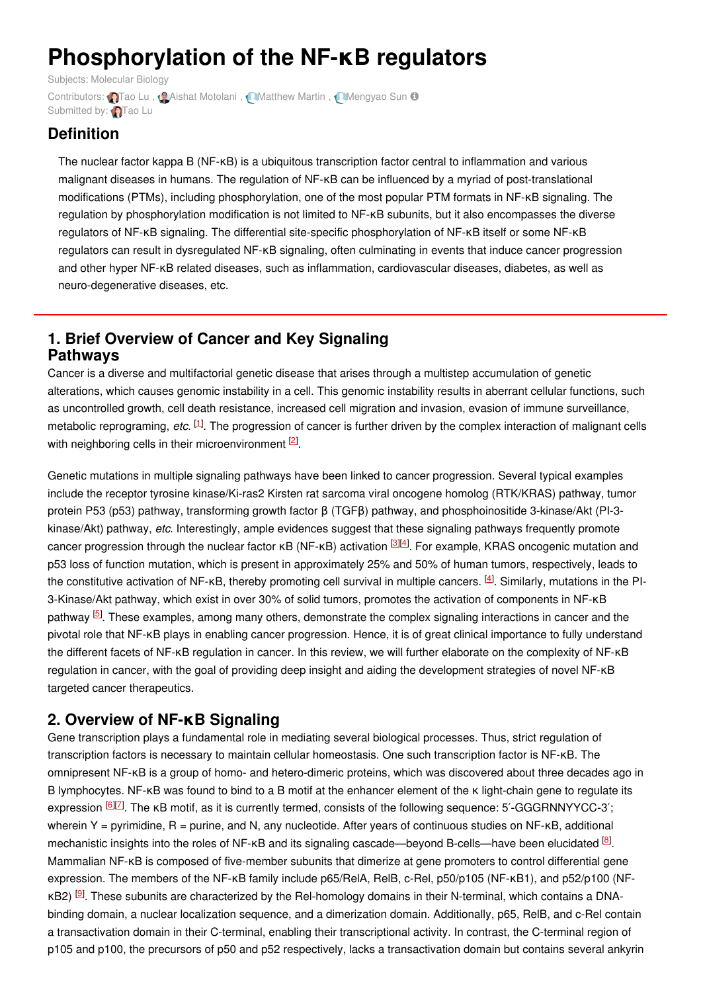# **Phosphorylation of the NF-κB regulators**

Subjects: [Molecular](https://encyclopedia.pub/item/subject/58) Biology Contributors: **Q**[Tao](https://sciprofiles.com/profile/963118) Lu, **Q**Aishat [Motolani](https://sciprofiles.com/profile/1405949), **[Matthew](https://sciprofiles.com/profile/1434141) Martin**, **[Mengyao](https://sciprofiles.com/profile/1432745) Sun O** Submitted by: [Tao](https://sciprofiles.com/profile/963118) Lu

## **Definition**

The nuclear factor kappa B (NF-κB) is a ubiquitous transcription factor central to inflammation and various malignant diseases in humans. The regulation of NF-κB can be influenced by a myriad of post-translational modifications (PTMs), including phosphorylation, one of the most popular PTM formats in NF-κB signaling. The regulation by phosphorylation modification is not limited to NF-κB subunits, but it also encompasses the diverse regulators of NF-κB signaling. The differential site-specific phosphorylation of NF-κB itself or some NF-κB regulators can result in dysregulated NF-κB signaling, often culminating in events that induce cancer progression and other hyper NF-kB related diseases, such as inflammation, cardiovascular diseases, diabetes, as well as neuro-degenerative diseases, etc.

#### **1. Brief Overview of Cancer and Key Signaling Pathways**

Cancer is a diverse and multifactorial genetic disease that arises through a multistep accumulation of genetic alterations, which causes genomic instability in a cell. This genomic instability results in aberrant cellular functions, such as uncontrolled growth, cell death resistance, increased cell migration and invasion, evasion of immune surveillance, metabolic reprograming, etc. <sup>[\[1](#page-1-0)]</sup>. The progression of cancer is further driven by the complex interaction of malignant cells with neighboring cells in their microenvironment  $[2]$  $[2]$ .

Genetic mutations in multiple signaling pathways have been linked to cancer progression. Several typical examples include the receptor tyrosine kinase/Ki-ras2 Kirsten rat sarcoma viral oncogene homolog (RTK/KRAS) pathway, tumor protein P53 (p53) pathway, transforming growth factor β (TGFβ) pathway, and phosphoinositide 3-kinase/Akt (PI-3 kinase/Akt) pathway, *etc*. Interestingly, ample evidences suggest that these signaling pathways frequently promote cancer progression through the nuclear factor κB (NF-κB) activation <sup>[\[3](#page-1-2)][\[4](#page-1-3)]</sup>. For example, KRAS oncogenic mutation and p53 loss of function mutation, which is present in approximately 25% and 50% of human tumors, respectively, leads to the constitutive activation of NF-κB, thereby promoting cell survival in multiple cancers. [\[4](#page-1-3)]. Similarly, mutations in the PI-3-Kinase/Akt pathway, which exist in over 30% of solid tumors, promotes the activation of components in NF-κB pathway <sup>[\[5](#page-1-4)]</sup>. These examples, among many others, demonstrate the complex signaling interactions in cancer and the pivotal role that NF-κB plays in enabling cancer progression. Hence, it is of great clinical importance to fully understand the different facets of NF-κB regulation in cancer. In this review, we will further elaborate on the complexity of NF-κB regulation in cancer, with the goal of providing deep insight and aiding the development strategies of novel NF-κB targeted cancer therapeutics.

## **2. Overview of NF-κB Signaling**

Gene transcription plays a fundamental role in mediating several biological processes. Thus, strict regulation of transcription factors is necessary to maintain cellular homeostasis. One such transcription factor is NF-κB. The omnipresent NF-κB is a group of homo- and hetero-dimeric proteins, which was discovered about three decades ago in B lymphocytes. NF-κB was found to bind to a B motif at the enhancer element of the κ light-chain gene to regulate its expression <sup>[[6](#page-1-5)][Z]</sup>. The κB motif, as it is currently termed, consists of the following sequence: 5'-GGGRNNYYCC-3'; wherein Y = pyrimidine,  $R$  = purine, and N, any nucleotide. After years of continuous studies on NF- $R$ B, additional mechanistic insights into the roles of NF-kB and its signaling cascade—beyond B-cells—have been elucidated <sup>[\[8](#page-1-7)]</sup>. Mammalian NF-κB is composed of five-member subunits that dimerize at gene promoters to control differential gene expression. The members of the NF-κB family include p65/RelA, RelB, c-Rel, p50/p105 (NF-κB1), and p52/p100 (NF-κB2) <sup>[\[9](#page-1-8)]</sup>. These subunits are characterized by the Rel-homology domains in their N-terminal, which contains a DNAbinding domain, a nuclear localization sequence, and a dimerization domain. Additionally, p65, RelB, and c-Rel contain a transactivation domain in their C-terminal, enabling their transcriptional activity. In contrast, the C-terminal region of p105 and p100, the precursors of p50 and p52 respectively, lacks a transactivation domain but contains several ankyrin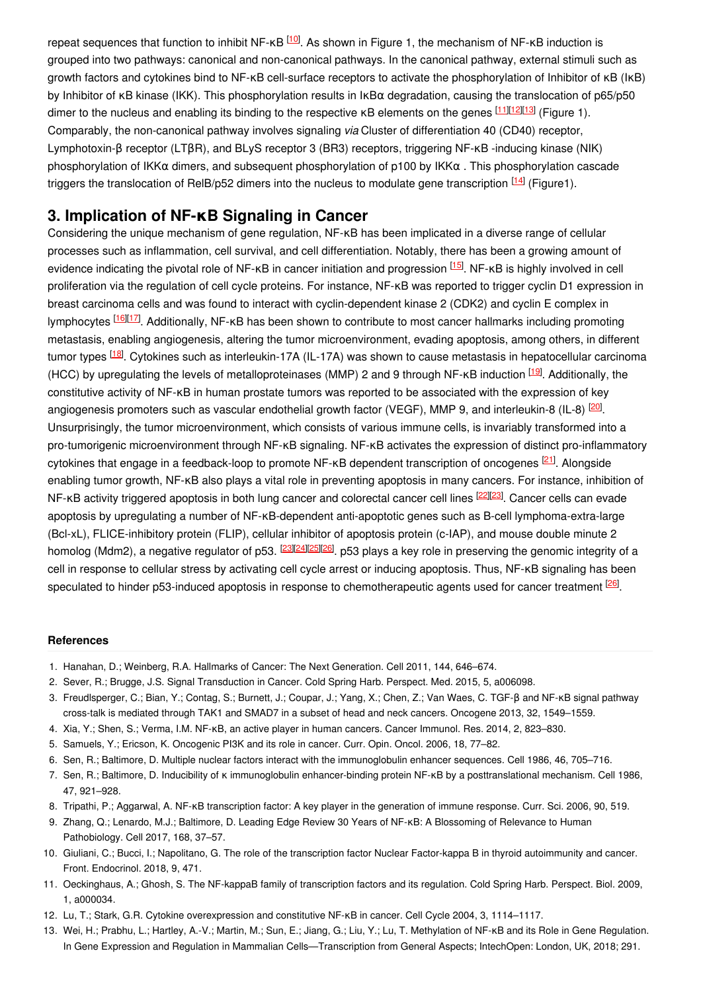repeat sequences that function to inhibit NF-κB <sup>[\[10](#page-1-9)]</sup>. As shown in Figure 1, the mechanism of NF-κB induction is grouped into two pathways: canonical and non-canonical pathways. In the canonical pathway, external stimuli such as growth factors and cytokines bind to NF-κB cell-surface receptors to activate the phosphorylation of Inhibitor of κB (IκB) by Inhibitor of κB kinase (IKK). This phosphorylation results in IκBα degradation, causing the translocation of p65/p50 dimer to the nucleus and enabling its binding to the respective κB elements on the genes <sup>[\[11](#page-1-10)][[12](#page-1-11)][\[13](#page-1-12)]</sup> (Figure 1). Comparably, the non-canonical pathway involves signaling *via* Cluster of differentiation 40 (CD40) receptor, Lymphotoxin-β receptor (LTβR), and BLyS receptor 3 (BR3) receptors, triggering NF-κB -inducing kinase (NIK) phosphorylation of IKKα dimers, and subsequent phosphorylation of p100 by IKKα . This phosphorylation cascade triggers the translocation of ReIB/p52 dimers into the nucleus to modulate gene transcription <sup>[\[14](#page-2-0)]</sup> (Figure1).

## **3. Implication of NF-κB Signaling in Cancer**

Considering the unique mechanism of gene regulation, NF-κB has been implicated in a diverse range of cellular processes such as inflammation, cell survival, and cell differentiation. Notably, there has been a growing amount of evidence indicating the pivotal role of NF-κB in cancer initiation and progression [\[15](#page-2-1)]. NF-κB is highly involved in cell proliferation via the regulation of cell cycle proteins. For instance, NF-κB was reported to trigger cyclin D1 expression in breast carcinoma cells and was found to interact with cyclin-dependent kinase 2 (CDK2) and cyclin E complex in lymphocytes [\[16](#page-2-2)|[[17](#page-2-3)]. Additionally, NF-κB has been shown to contribute to most cancer hallmarks including promoting metastasis, enabling angiogenesis, altering the tumor microenvironment, evading apoptosis, among others, in different tumor types <sup>[\[18](#page-2-4)]</sup>. Cytokines such as interleukin-17A (IL-17A) was shown to cause metastasis in hepatocellular carcinoma (HCC) by upregulating the levels of metalloproteinases (MMP) 2 and 9 through NF-κB induction <sup>[\[19](#page-2-5)]</sup>. Additionally, the constitutive activity of NF-κB in human prostate tumors was reported to be associated with the expression of key angiogenesis promoters such as vascular endothelial growth factor (VEGF), MMP 9, and interleukin-8 (IL-8) <sup>[\[20](#page-2-6)]</sup>. Unsurprisingly, the tumor microenvironment, which consists of various immune cells, is invariably transformed into a pro-tumorigenic microenvironment through NF-κB signaling. NF-κB activates the expression of distinct pro-inflammatory cytokines that engage in a feedback-loop to promote NF-κB dependent transcription of oncogenes <sup>[\[21](#page-2-7)]</sup>. Alongside enabling tumor growth, NF-κB also plays a vital role in preventing apoptosis in many cancers. For instance, inhibition of NF-κB activity triggered apoptosis in both lung cancer and colorectal cancer cell lines <sup>[\[22](#page-2-8)][\[23](#page-2-9)]</sup>. Cancer cells can evade apoptosis by upregulating a number of NF-κB-dependent anti-apoptotic genes such as B-cell lymphoma-extra-large (Bcl-xL), FLICE-inhibitory protein (FLIP), cellular inhibitor of apoptosis protein (c-IAP), and mouse double minute 2 homolog (Mdm2), a negative regulator of p53. <sup>[\[23](#page-2-9)][\[24](#page-2-10)][\[25](#page-2-11)][\[26](#page-2-12)]</sup>. p53 plays a key role in preserving the genomic integrity of a cell in response to cellular stress by activating cell cycle arrest or inducing apoptosis. Thus, NF-κB signaling has been speculated to hinder p53-induced apoptosis in response to chemotherapeutic agents used for cancer treatment <sup>[\[26](#page-2-12)]</sup>.

#### **References**

- <span id="page-1-0"></span>1. Hanahan, D.; Weinberg, R.A. Hallmarks of Cancer: The Next Generation. Cell 2011, 144, 646–674.
- <span id="page-1-1"></span>2. Sever, R.; Brugge, J.S. Signal Transduction in Cancer. Cold Spring Harb. Perspect. Med. 2015, 5, a006098.
- <span id="page-1-2"></span>3. Freudlsperger, C.; Bian, Y.; Contag, S.; Burnett, J.; Coupar, J.; Yang, X.; Chen, Z.; Van Waes, C. TGF-β and NF-κB signal pathway cross-talk is mediated through TAK1 and SMAD7 in a subset of head and neck cancers. Oncogene 2013, 32, 1549–1559.
- <span id="page-1-3"></span>4. Xia, Y.; Shen, S.; Verma, I.M. NF-κB, an active player in human cancers. Cancer Immunol. Res. 2014, 2, 823–830.
- <span id="page-1-4"></span>5. Samuels, Y.; Ericson, K. Oncogenic PI3K and its role in cancer. Curr. Opin. Oncol. 2006, 18, 77–82.
- <span id="page-1-5"></span>6. Sen, R.; Baltimore, D. Multiple nuclear factors interact with the immunoglobulin enhancer sequences. Cell 1986, 46, 705–716.
- <span id="page-1-6"></span>7. Sen, R.; Baltimore, D. Inducibility of κ immunoglobulin enhancer-binding protein NF-κB by a posttranslational mechanism. Cell 1986, 47, 921–928.
- <span id="page-1-7"></span>8. Tripathi, P.; Aggarwal, A. NF-κB transcription factor: A key player in the generation of immune response. Curr. Sci. 2006, 90, 519.
- <span id="page-1-8"></span>9. Zhang, Q.; Lenardo, M.J.; Baltimore, D. Leading Edge Review 30 Years of NF-κB: A Blossoming of Relevance to Human Pathobiology. Cell 2017, 168, 37–57.
- <span id="page-1-9"></span>10. Giuliani, C.; Bucci, I.; Napolitano, G. The role of the transcription factor Nuclear Factor-kappa B in thyroid autoimmunity and cancer. Front. Endocrinol. 2018, 9, 471.
- <span id="page-1-10"></span>11. Oeckinghaus, A.; Ghosh, S. The NF-kappaB family of transcription factors and its regulation. Cold Spring Harb. Perspect. Biol. 2009, 1, a000034.
- <span id="page-1-11"></span>12. Lu, T.; Stark, G.R. Cytokine overexpression and constitutive NF-κB in cancer. Cell Cycle 2004, 3, 1114–1117.
- <span id="page-1-12"></span>13. Wei, H.; Prabhu, L.; Hartley, A.-V.; Martin, M.; Sun, E.; Jiang, G.; Liu, Y.; Lu, T. Methylation of NF-κB and its Role in Gene Regulation. In Gene Expression and Regulation in Mammalian Cells—Transcription from General Aspects; IntechOpen: London, UK, 2018; 291.